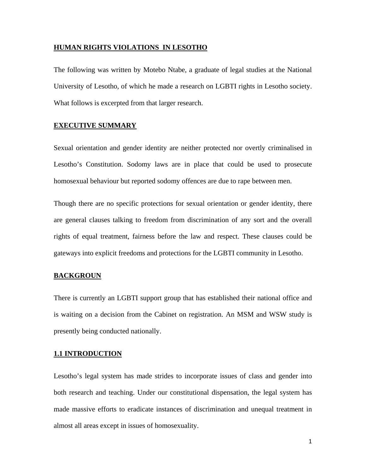#### **HUMAN RIGHTS VIOLATIONS IN LESOTHO**

The following was written by Motebo Ntabe, a graduate of legal studies at the National University of Lesotho, of which he made a research on LGBTI rights in Lesotho society. What follows is excerpted from that larger research.

# **EXECUTIVE SUMMARY**

Sexual orientation and gender identity are neither protected nor overtly criminalised in Lesotho's Constitution. Sodomy laws are in place that could be used to prosecute homosexual behaviour but reported sodomy offences are due to rape between men.

Though there are no specific protections for sexual orientation or gender identity, there are general clauses talking to freedom from discrimination of any sort and the overall rights of equal treatment, fairness before the law and respect. These clauses could be gateways into explicit freedoms and protections for the LGBTI community in Lesotho.

### **BACKGROUN**

There is currently an LGBTI support group that has established their national office and is waiting on a decision from the Cabinet on registration. An MSM and WSW study is presently being conducted nationally.

# **1.1 INTRODUCTION**

Lesotho's legal system has made strides to incorporate issues of class and gender into both research and teaching. Under our constitutional dispensation, the legal system has made massive efforts to eradicate instances of discrimination and unequal treatment in almost all areas except in issues of homosexuality.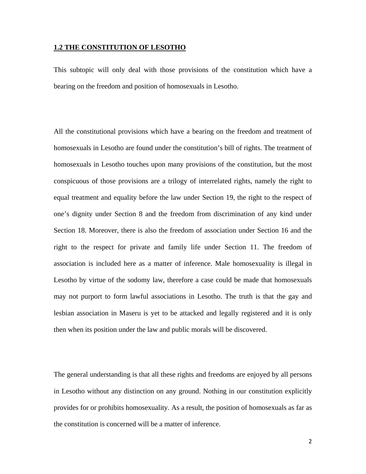### **1.2 THE CONSTITUTION OF LESOTHO**

This subtopic will only deal with those provisions of the constitution which have a bearing on the freedom and position of homosexuals in Lesotho.

All the constitutional provisions which have a bearing on the freedom and treatment of homosexuals in Lesotho are found under the constitution's bill of rights. The treatment of homosexuals in Lesotho touches upon many provisions of the constitution, but the most conspicuous of those provisions are a trilogy of interrelated rights, namely the right to equal treatment and equality before the law under Section 19, the right to the respect of one's dignity under Section 8 and the freedom from discrimination of any kind under Section 18. Moreover, there is also the freedom of association under Section 16 and the right to the respect for private and family life under Section 11. The freedom of association is included here as a matter of inference. Male homosexuality is illegal in Lesotho by virtue of the sodomy law, therefore a case could be made that homosexuals may not purport to form lawful associations in Lesotho. The truth is that the gay and lesbian association in Maseru is yet to be attacked and legally registered and it is only then when its position under the law and public morals will be discovered.

The general understanding is that all these rights and freedoms are enjoyed by all persons in Lesotho without any distinction on any ground. Nothing in our constitution explicitly provides for or prohibits homosexuality. As a result, the position of homosexuals as far as the constitution is concerned will be a matter of inference.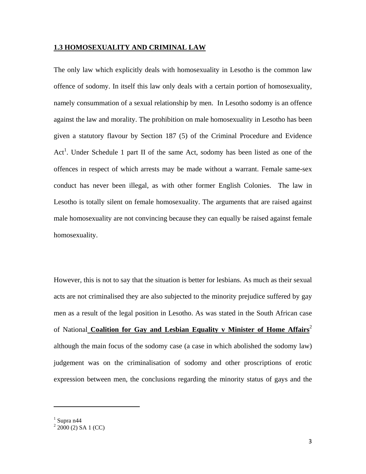### **1.3 HOMOSEXUALITY AND CRIMINAL LAW**

The only law which explicitly deals with homosexuality in Lesotho is the common law offence of sodomy. In itself this law only deals with a certain portion of homosexuality, namely consummation of a sexual relationship by men. In Lesotho sodomy is an offence against the law and morality. The prohibition on male homosexuality in Lesotho has been given a statutory flavour by Section 187 (5) of the Criminal Procedure and Evidence Act<sup>1</sup>. Under Schedule 1 part II of the same Act, sodomy has been listed as one of the offences in respect of which arrests may be made without a warrant. Female same-sex conduct has never been illegal, as with other former English Colonies. The law in Lesotho is totally silent on female homosexuality. The arguments that are raised against male homosexuality are not convincing because they can equally be raised against female homosexuality.

However, this is not to say that the situation is better for lesbians. As much as their sexual acts are not criminalised they are also subjected to the minority prejudice suffered by gay men as a result of the legal position in Lesotho. As was stated in the South African case of National **Coalition for Gay and Lesbian Equality v Minister of Home Affairs**<sup>2</sup> although the main focus of the sodomy case (a case in which abolished the sodomy law) judgement was on the criminalisation of sodomy and other proscriptions of erotic expression between men, the conclusions regarding the minority status of gays and the

 $<sup>1</sup>$  Supra n44</sup>

 $2\,2000$  (2) SA 1 (CC)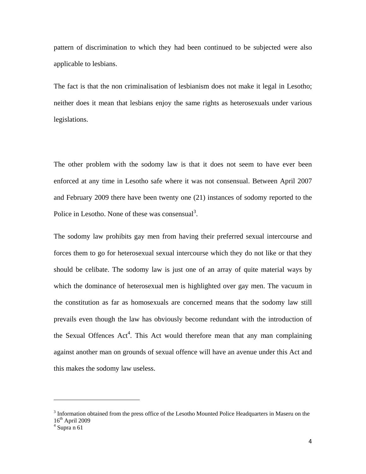pattern of discrimination to which they had been continued to be subjected were also applicable to lesbians.

The fact is that the non criminalisation of lesbianism does not make it legal in Lesotho; neither does it mean that lesbians enjoy the same rights as heterosexuals under various legislations.

The other problem with the sodomy law is that it does not seem to have ever been enforced at any time in Lesotho safe where it was not consensual. Between April 2007 and February 2009 there have been twenty one (21) instances of sodomy reported to the Police in Lesotho. None of these was consensual<sup>3</sup>.

The sodomy law prohibits gay men from having their preferred sexual intercourse and forces them to go for heterosexual sexual intercourse which they do not like or that they should be celibate. The sodomy law is just one of an array of quite material ways by which the dominance of heterosexual men is highlighted over gay men. The vacuum in the constitution as far as homosexuals are concerned means that the sodomy law still prevails even though the law has obviously become redundant with the introduction of the Sexual Offences  $Act<sup>4</sup>$ . This Act would therefore mean that any man complaining against another man on grounds of sexual offence will have an avenue under this Act and this makes the sodomy law useless.

 $3$  Information obtained from the press office of the Lesotho Mounted Police Headquarters in Maseru on the  $16^{th}$  April 2009

 $4$  Supra n 61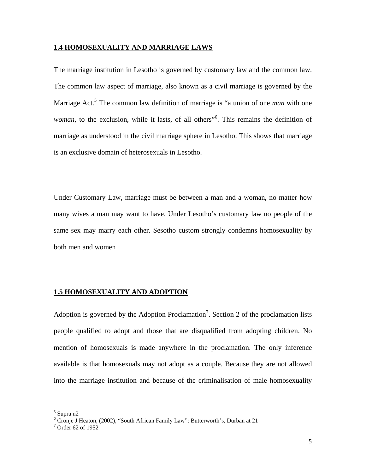### **1.4 HOMOSEXUALITY AND MARRIAGE LAWS**

The marriage institution in Lesotho is governed by customary law and the common law. The common law aspect of marriage, also known as a civil marriage is governed by the Marriage Act.<sup>5</sup> The common law definition of marriage is "a union of one *man* with one woman, to the exclusion, while it lasts, of all others<sup>"6</sup>. This remains the definition of marriage as understood in the civil marriage sphere in Lesotho. This shows that marriage is an exclusive domain of heterosexuals in Lesotho.

Under Customary Law, marriage must be between a man and a woman, no matter how many wives a man may want to have. Under Lesotho's customary law no people of the same sex may marry each other. Sesotho custom strongly condemns homosexuality by both men and women

#### **1.5 HOMOSEXUALITY AND ADOPTION**

Adoption is governed by the Adoption Proclamation<sup>7</sup>. Section 2 of the proclamation lists people qualified to adopt and those that are disqualified from adopting children. No mention of homosexuals is made anywhere in the proclamation. The only inference available is that homosexuals may not adopt as a couple. Because they are not allowed into the marriage institution and because of the criminalisation of male homosexuality

<sup>5</sup> Supra n2

<sup>&</sup>lt;sup>6</sup> Cronje J Heaton, (2002), "South African Family Law": Butterworth's, Durban at 21

<sup>7</sup> Order 62 of 1952